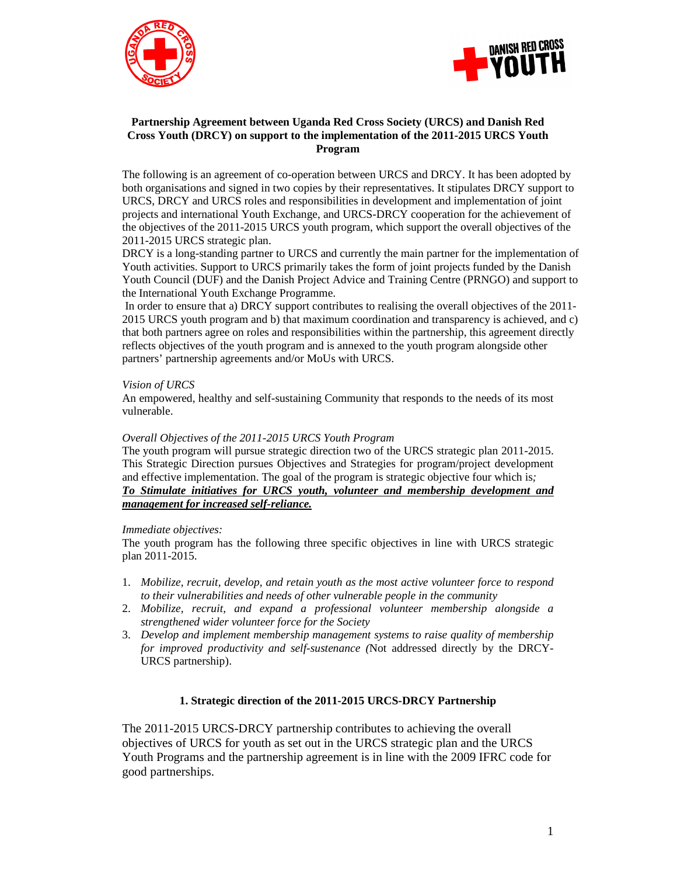



### **Partnership Agreement between Uganda Red Cross Society (URCS) and Danish Red Cross Youth (DRCY) on support to the implementation of the 2011-2015 URCS Youth Program**

The following is an agreement of co-operation between URCS and DRCY. It has been adopted by both organisations and signed in two copies by their representatives. It stipulates DRCY support to URCS, DRCY and URCS roles and responsibilities in development and implementation of joint projects and international Youth Exchange, and URCS-DRCY cooperation for the achievement of the objectives of the 2011-2015 URCS youth program, which support the overall objectives of the 2011-2015 URCS strategic plan.

DRCY is a long-standing partner to URCS and currently the main partner for the implementation of Youth activities. Support to URCS primarily takes the form of joint projects funded by the Danish Youth Council (DUF) and the Danish Project Advice and Training Centre (PRNGO) and support to the International Youth Exchange Programme.

 In order to ensure that a) DRCY support contributes to realising the overall objectives of the 2011- 2015 URCS youth program and b) that maximum coordination and transparency is achieved, and c) that both partners agree on roles and responsibilities within the partnership, this agreement directly reflects objectives of the youth program and is annexed to the youth program alongside other partners' partnership agreements and/or MoUs with URCS.

### *Vision of URCS*

An empowered, healthy and self-sustaining Community that responds to the needs of its most vulnerable.

### *Overall Objectives of the 2011-2015 URCS Youth Program*

The youth program will pursue strategic direction two of the URCS strategic plan 2011-2015. This Strategic Direction pursues Objectives and Strategies for program/project development and effective implementation. The goal of the program is strategic objective four which is*; To Stimulate initiatives for URCS youth, volunteer and membership development and management for increased self-reliance.*

#### *Immediate objectives:*

The youth program has the following three specific objectives in line with URCS strategic plan 2011-2015.

- 1. *Mobilize, recruit, develop, and retain youth as the most active volunteer force to respond to their vulnerabilities and needs of other vulnerable people in the community*
- 2. *Mobilize, recruit, and expand a professional volunteer membership alongside a strengthened wider volunteer force for the Society*
- 3. *Develop and implement membership management systems to raise quality of membership for improved productivity and self-sustenance (*Not addressed directly by the DRCY-URCS partnership).

#### **1. Strategic direction of the 2011-2015 URCS-DRCY Partnership**

The 2011-2015 URCS-DRCY partnership contributes to achieving the overall objectives of URCS for youth as set out in the URCS strategic plan and the URCS Youth Programs and the partnership agreement is in line with the 2009 IFRC code for good partnerships.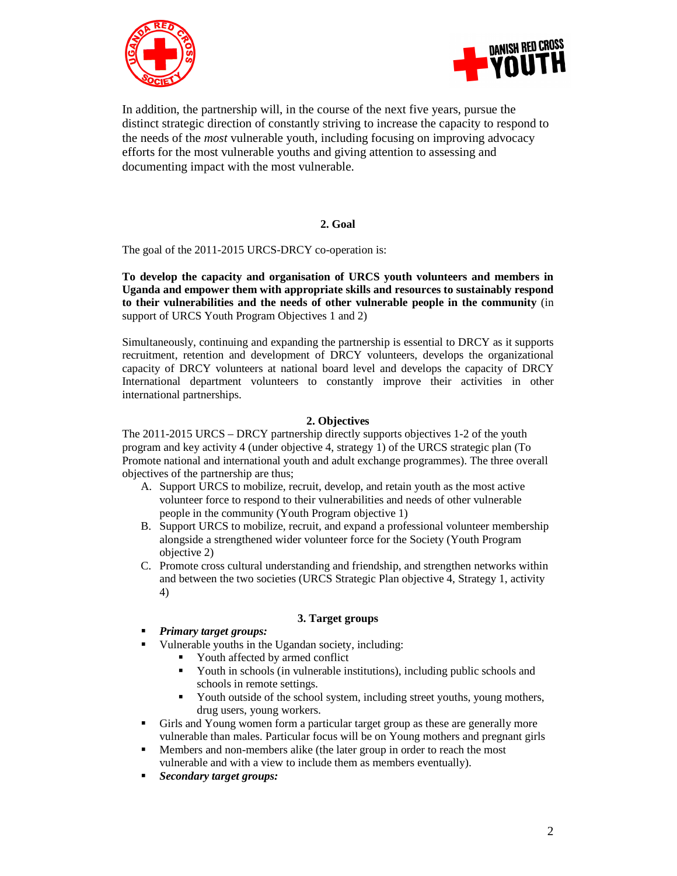



In addition, the partnership will, in the course of the next five years, pursue the distinct strategic direction of constantly striving to increase the capacity to respond to the needs of the *most* vulnerable youth, including focusing on improving advocacy efforts for the most vulnerable youths and giving attention to assessing and documenting impact with the most vulnerable.

### **2. Goal**

The goal of the 2011-2015 URCS-DRCY co-operation is:

**To develop the capacity and organisation of URCS youth volunteers and members in Uganda and empower them with appropriate skills and resources to sustainably respond to their vulnerabilities and the needs of other vulnerable people in the community** (in support of URCS Youth Program Objectives 1 and 2)

Simultaneously, continuing and expanding the partnership is essential to DRCY as it supports recruitment, retention and development of DRCY volunteers, develops the organizational capacity of DRCY volunteers at national board level and develops the capacity of DRCY International department volunteers to constantly improve their activities in other international partnerships.

## **2. Objectives**

The 2011-2015 URCS – DRCY partnership directly supports objectives 1-2 of the youth program and key activity 4 (under objective 4, strategy 1) of the URCS strategic plan (To Promote national and international youth and adult exchange programmes). The three overall objectives of the partnership are thus;

- A. Support URCS to mobilize, recruit, develop, and retain youth as the most active volunteer force to respond to their vulnerabilities and needs of other vulnerable people in the community (Youth Program objective 1)
- B. Support URCS to mobilize, recruit, and expand a professional volunteer membership alongside a strengthened wider volunteer force for the Society (Youth Program objective 2)
- C. Promote cross cultural understanding and friendship, and strengthen networks within and between the two societies (URCS Strategic Plan objective 4, Strategy 1, activity 4)

## **3. Target groups**

- *Primary target groups:*
- Vulnerable youths in the Ugandan society, including:
	- Youth affected by armed conflict
	- Youth in schools (in vulnerable institutions), including public schools and schools in remote settings.
	- Youth outside of the school system, including street youths, young mothers, drug users, young workers.
- Girls and Young women form a particular target group as these are generally more vulnerable than males. Particular focus will be on Young mothers and pregnant girls
- Members and non-members alike (the later group in order to reach the most vulnerable and with a view to include them as members eventually).
- *Secondary target groups:*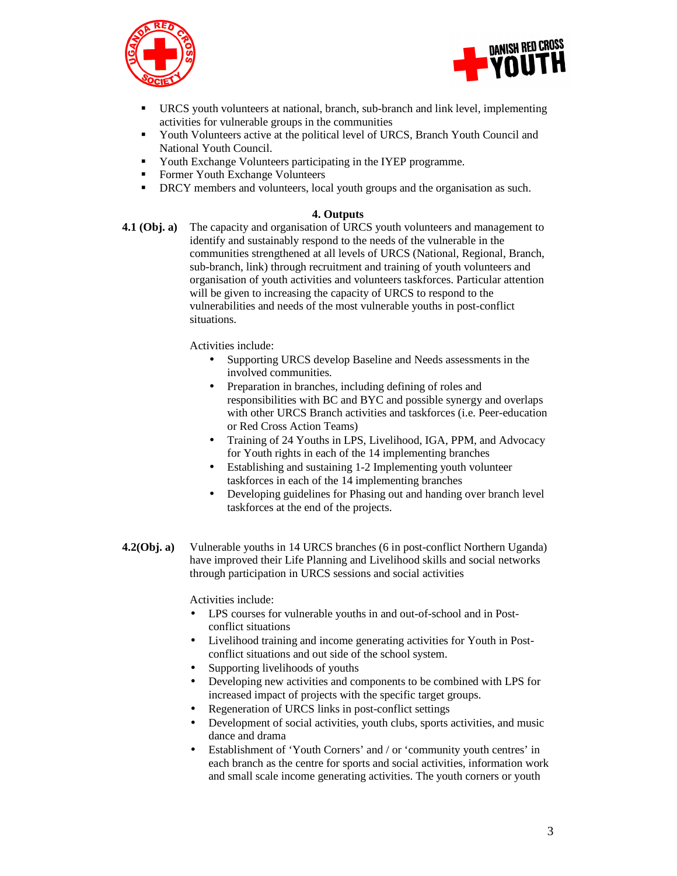



- URCS youth volunteers at national, branch, sub-branch and link level, implementing activities for vulnerable groups in the communities
- Youth Volunteers active at the political level of URCS, Branch Youth Council and National Youth Council.
- Youth Exchange Volunteers participating in the IYEP programme.
- Former Youth Exchange Volunteers
- **•** DRCY members and volunteers, local youth groups and the organisation as such.

### **4. Outputs**

**4.1 (Obj. a)** The capacity and organisation of URCS youth volunteers and management to identify and sustainably respond to the needs of the vulnerable in the communities strengthened at all levels of URCS (National, Regional, Branch, sub-branch, link) through recruitment and training of youth volunteers and organisation of youth activities and volunteers taskforces. Particular attention will be given to increasing the capacity of URCS to respond to the vulnerabilities and needs of the most vulnerable youths in post-conflict situations.

Activities include:

- Supporting URCS develop Baseline and Needs assessments in the involved communities.
- Preparation in branches, including defining of roles and responsibilities with BC and BYC and possible synergy and overlaps with other URCS Branch activities and taskforces (i.e. Peer-education or Red Cross Action Teams)
- Training of 24 Youths in LPS, Livelihood, IGA, PPM, and Advocacy for Youth rights in each of the 14 implementing branches
- Establishing and sustaining 1-2 Implementing youth volunteer taskforces in each of the 14 implementing branches
- Developing guidelines for Phasing out and handing over branch level taskforces at the end of the projects.
- **4.2(Obj. a)** Vulnerable youths in 14 URCS branches (6 in post-conflict Northern Uganda) have improved their Life Planning and Livelihood skills and social networks through participation in URCS sessions and social activities

Activities include:

- LPS courses for vulnerable youths in and out-of-school and in Postconflict situations
- Livelihood training and income generating activities for Youth in Postconflict situations and out side of the school system.
- Supporting livelihoods of youths
- Developing new activities and components to be combined with LPS for increased impact of projects with the specific target groups.
- Regeneration of URCS links in post-conflict settings
- Development of social activities, youth clubs, sports activities, and music dance and drama
- Establishment of 'Youth Corners' and / or 'community youth centres' in each branch as the centre for sports and social activities, information work and small scale income generating activities. The youth corners or youth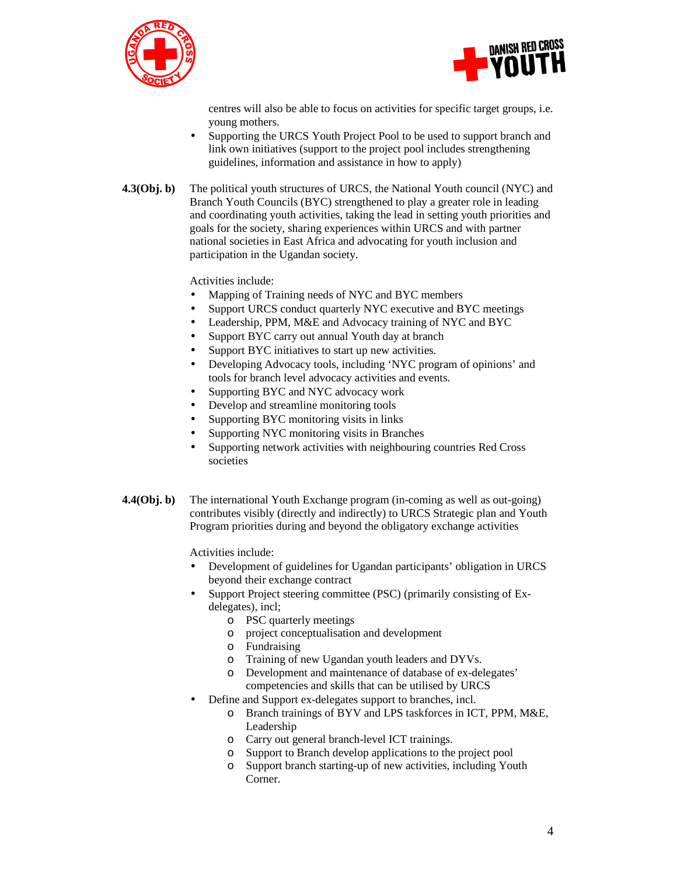



centres will also be able to focus on activities for specific target groups, i.e. young mothers.

- Supporting the URCS Youth Project Pool to be used to support branch and link own initiatives (support to the project pool includes strengthening guidelines, information and assistance in how to apply)
- **4.3(Obj. b)** The political youth structures of URCS, the National Youth council (NYC) and Branch Youth Councils (BYC) strengthened to play a greater role in leading and coordinating youth activities, taking the lead in setting youth priorities and goals for the society, sharing experiences within URCS and with partner national societies in East Africa and advocating for youth inclusion and participation in the Ugandan society.

Activities include:

- Mapping of Training needs of NYC and BYC members
- Support URCS conduct quarterly NYC executive and BYC meetings
- Leadership, PPM, M&E and Advocacy training of NYC and BYC
- Support BYC carry out annual Youth day at branch
- Support BYC initiatives to start up new activities.
- Developing Advocacy tools, including 'NYC program of opinions' and tools for branch level advocacy activities and events.
- Supporting BYC and NYC advocacy work
- Develop and streamline monitoring tools
- Supporting BYC monitoring visits in links
- Supporting NYC monitoring visits in Branches
- Supporting network activities with neighbouring countries Red Cross societies
- **4.4(Obj. b)** The international Youth Exchange program (in-coming as well as out-going) contributes visibly (directly and indirectly) to URCS Strategic plan and Youth Program priorities during and beyond the obligatory exchange activities

Activities include:

- Development of guidelines for Ugandan participants' obligation in URCS beyond their exchange contract
- Support Project steering committee (PSC) (primarily consisting of Exdelegates), incl;
	- o PSC quarterly meetings
	- o project conceptualisation and development
	- o Fundraising
	- o Training of new Ugandan youth leaders and DYVs.
	- o Development and maintenance of database of ex-delegates' competencies and skills that can be utilised by URCS
- Define and Support ex-delegates support to branches, incl.
	- o Branch trainings of BYV and LPS taskforces in ICT, PPM, M&E, Leadership
	- o Carry out general branch-level ICT trainings.
	- o Support to Branch develop applications to the project pool
	- o Support branch starting-up of new activities, including Youth Corner.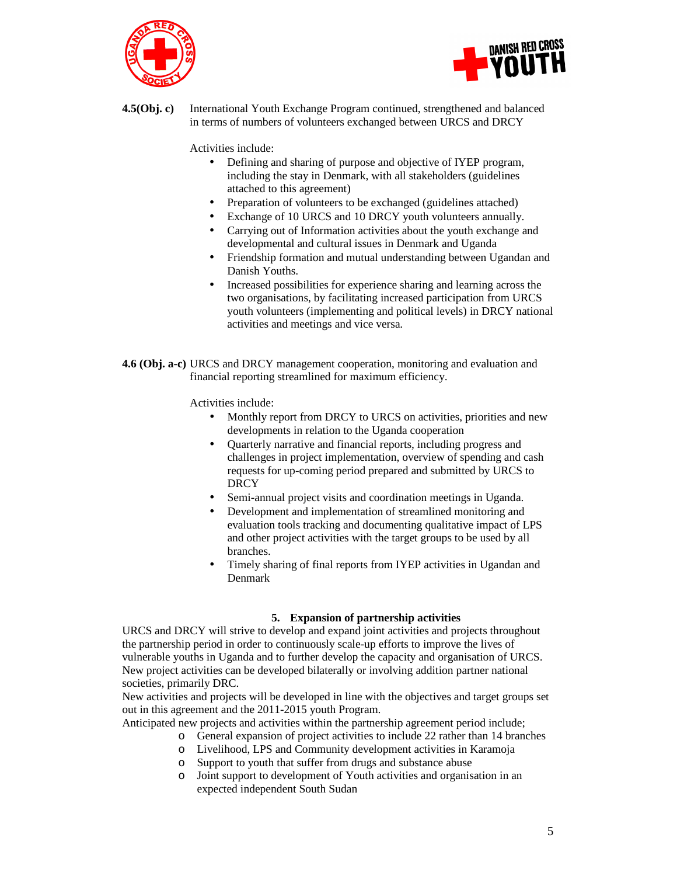



**4.5(Obj. c)** International Youth Exchange Program continued, strengthened and balanced in terms of numbers of volunteers exchanged between URCS and DRCY

Activities include:

- Defining and sharing of purpose and objective of IYEP program, including the stay in Denmark, with all stakeholders (guidelines attached to this agreement)
- Preparation of volunteers to be exchanged (guidelines attached)
- Exchange of 10 URCS and 10 DRCY youth volunteers annually.
- Carrying out of Information activities about the youth exchange and developmental and cultural issues in Denmark and Uganda
- Friendship formation and mutual understanding between Ugandan and Danish Youths.
- Increased possibilities for experience sharing and learning across the two organisations, by facilitating increased participation from URCS youth volunteers (implementing and political levels) in DRCY national activities and meetings and vice versa.
- **4.6 (Obj. a-c)** URCS and DRCY management cooperation, monitoring and evaluation and financial reporting streamlined for maximum efficiency.

Activities include:

- Monthly report from DRCY to URCS on activities, priorities and new developments in relation to the Uganda cooperation
- Quarterly narrative and financial reports, including progress and challenges in project implementation, overview of spending and cash requests for up-coming period prepared and submitted by URCS to **DRCY**
- Semi-annual project visits and coordination meetings in Uganda.
- Development and implementation of streamlined monitoring and evaluation tools tracking and documenting qualitative impact of LPS and other project activities with the target groups to be used by all branches.
- Timely sharing of final reports from IYEP activities in Ugandan and Denmark

#### **5. Expansion of partnership activities**

URCS and DRCY will strive to develop and expand joint activities and projects throughout the partnership period in order to continuously scale-up efforts to improve the lives of vulnerable youths in Uganda and to further develop the capacity and organisation of URCS. New project activities can be developed bilaterally or involving addition partner national societies, primarily DRC.

New activities and projects will be developed in line with the objectives and target groups set out in this agreement and the 2011-2015 youth Program.

- Anticipated new projects and activities within the partnership agreement period include;
	- o General expansion of project activities to include 22 rather than 14 branches
	- o Livelihood, LPS and Community development activities in Karamoja
	- o Support to youth that suffer from drugs and substance abuse
	- o Joint support to development of Youth activities and organisation in an expected independent South Sudan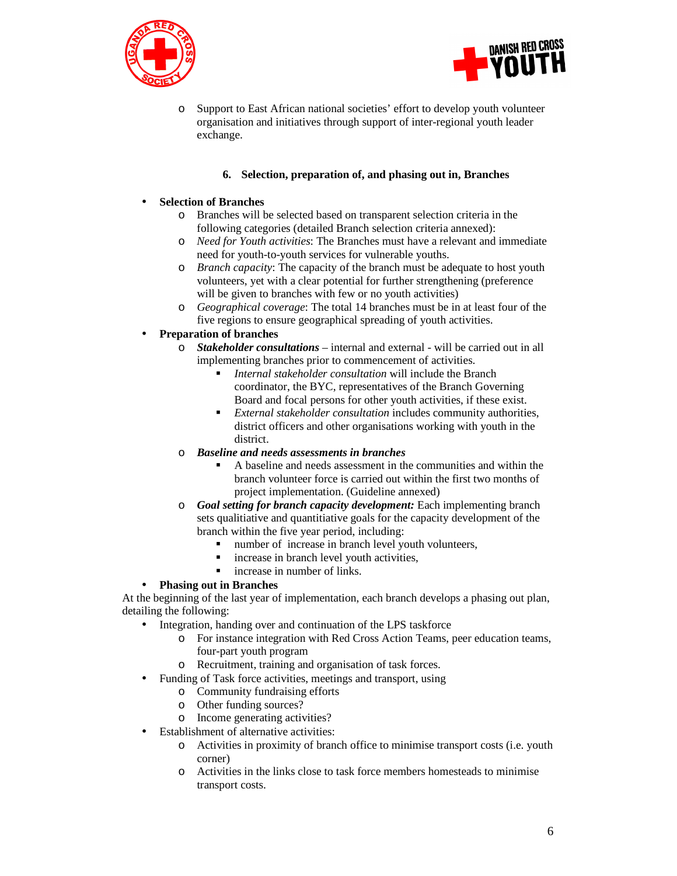



o Support to East African national societies' effort to develop youth volunteer organisation and initiatives through support of inter-regional youth leader exchange.

## **6. Selection, preparation of, and phasing out in, Branches**

### • **Selection of Branches**

- o Branches will be selected based on transparent selection criteria in the following categories (detailed Branch selection criteria annexed):
- o *Need for Youth activities*: The Branches must have a relevant and immediate need for youth-to-youth services for vulnerable youths.
- o *Branch capacity*: The capacity of the branch must be adequate to host youth volunteers, yet with a clear potential for further strengthening (preference will be given to branches with few or no youth activities)
- o *Geographical coverage*: The total 14 branches must be in at least four of the five regions to ensure geographical spreading of youth activities.

# • **Preparation of branches**

- o *Stakeholder consultations* internal and external will be carried out in all implementing branches prior to commencement of activities.
	- *Internal stakeholder consultation* will include the Branch coordinator, the BYC, representatives of the Branch Governing Board and focal persons for other youth activities, if these exist.
	- *External stakeholder consultation* includes community authorities, district officers and other organisations working with youth in the district.

## o *Baseline and needs assessments in branches*

- A baseline and needs assessment in the communities and within the branch volunteer force is carried out within the first two months of project implementation. (Guideline annexed)
- o *Goal setting for branch capacity development:* Each implementing branch sets qualitiative and quantitiative goals for the capacity development of the branch within the five year period, including:
	- number of increase in branch level youth volunteers,
	- increase in branch level youth activities,
	- increase in number of links.

## • **Phasing out in Branches**

At the beginning of the last year of implementation, each branch develops a phasing out plan, detailing the following:

- Integration, handing over and continuation of the LPS taskforce
	- o For instance integration with Red Cross Action Teams, peer education teams, four-part youth program
	- o Recruitment, training and organisation of task forces.
- Funding of Task force activities, meetings and transport, using
	- o Community fundraising efforts
	- o Other funding sources?
	- o Income generating activities?
- Establishment of alternative activities:
	- o Activities in proximity of branch office to minimise transport costs (i.e. youth corner)
	- o Activities in the links close to task force members homesteads to minimise transport costs.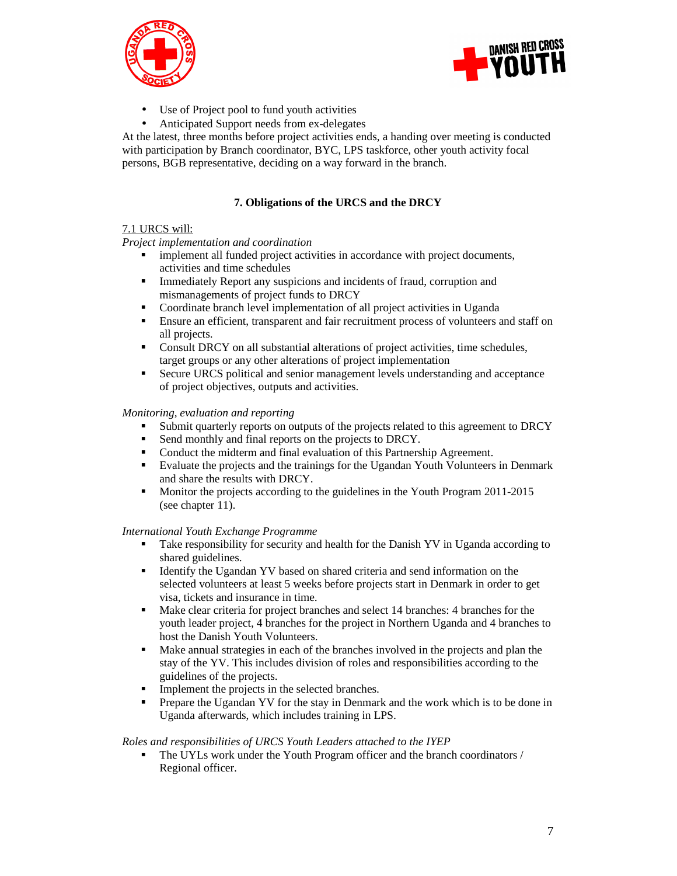



- Use of Project pool to fund youth activities
- Anticipated Support needs from ex-delegates

At the latest, three months before project activities ends, a handing over meeting is conducted with participation by Branch coordinator, BYC, LPS taskforce, other youth activity focal persons, BGB representative, deciding on a way forward in the branch.

# **7. Obligations of the URCS and the DRCY**

## 7.1 URCS will:

### *Project implementation and coordination*

- **implement all funded project activities in accordance with project documents,** activities and time schedules
- Immediately Report any suspicions and incidents of fraud, corruption and mismanagements of project funds to DRCY
- Coordinate branch level implementation of all project activities in Uganda
- Ensure an efficient, transparent and fair recruitment process of volunteers and staff on all projects.
- Consult DRCY on all substantial alterations of project activities, time schedules, target groups or any other alterations of project implementation
- Secure URCS political and senior management levels understanding and acceptance of project objectives, outputs and activities.

### *Monitoring, evaluation and reporting*

- Submit quarterly reports on outputs of the projects related to this agreement to DRCY
- Send monthly and final reports on the projects to DRCY.
- Conduct the midterm and final evaluation of this Partnership Agreement.
- Evaluate the projects and the trainings for the Ugandan Youth Volunteers in Denmark and share the results with DRCY.
- **Monitor the projects according to the guidelines in the Youth Program 2011-2015** (see chapter 11).

#### *International Youth Exchange Programme*

- Take responsibility for security and health for the Danish YV in Uganda according to shared guidelines.
- Identify the Ugandan YV based on shared criteria and send information on the selected volunteers at least 5 weeks before projects start in Denmark in order to get visa, tickets and insurance in time.
- Make clear criteria for project branches and select 14 branches: 4 branches for the youth leader project, 4 branches for the project in Northern Uganda and 4 branches to host the Danish Youth Volunteers.
- Make annual strategies in each of the branches involved in the projects and plan the stay of the YV. This includes division of roles and responsibilities according to the guidelines of the projects.
- Implement the projects in the selected branches.
- Prepare the Ugandan YV for the stay in Denmark and the work which is to be done in Uganda afterwards, which includes training in LPS.

#### *Roles and responsibilities of URCS Youth Leaders attached to the IYEP*

 The UYLs work under the Youth Program officer and the branch coordinators / Regional officer.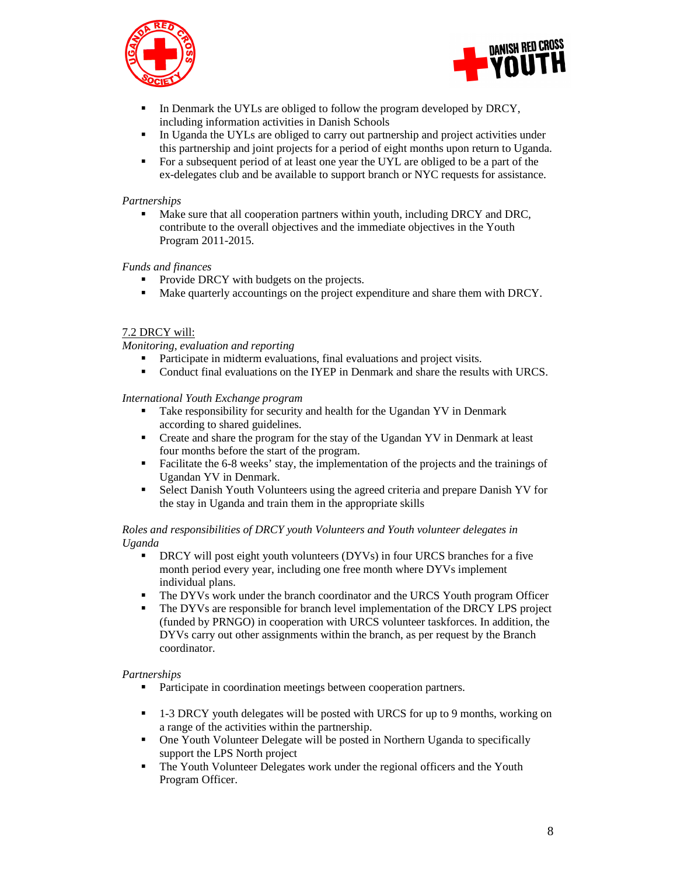



- In Denmark the UYLs are obliged to follow the program developed by DRCY, including information activities in Danish Schools
- In Uganda the UYLs are obliged to carry out partnership and project activities under this partnership and joint projects for a period of eight months upon return to Uganda.
- For a subsequent period of at least one year the UYL are obliged to be a part of the ex-delegates club and be available to support branch or NYC requests for assistance.

#### *Partnerships*

 Make sure that all cooperation partners within youth, including DRCY and DRC, contribute to the overall objectives and the immediate objectives in the Youth Program 2011-2015.

### *Funds and finances*

- Provide DRCY with budgets on the projects.
- Make quarterly accountings on the project expenditure and share them with DRCY.

### 7.2 DRCY will:

*Monitoring, evaluation and reporting* 

- **Participate in midterm evaluations, final evaluations and project visits.**
- Conduct final evaluations on the IYEP in Denmark and share the results with URCS.

#### *International Youth Exchange program*

- Take responsibility for security and health for the Ugandan YV in Denmark according to shared guidelines.
- **•** Create and share the program for the stay of the Ugandan YV in Denmark at least four months before the start of the program.
- Facilitate the 6-8 weeks' stay, the implementation of the projects and the trainings of Ugandan YV in Denmark.
- Select Danish Youth Volunteers using the agreed criteria and prepare Danish YV for the stay in Uganda and train them in the appropriate skills

### *Roles and responsibilities of DRCY youth Volunteers and Youth volunteer delegates in Uganda*

- DRCY will post eight youth volunteers (DYVs) in four URCS branches for a five month period every year, including one free month where DYVs implement individual plans.
- The DYVs work under the branch coordinator and the URCS Youth program Officer
- The DYVs are responsible for branch level implementation of the DRCY LPS project (funded by PRNGO) in cooperation with URCS volunteer taskforces. In addition, the DYVs carry out other assignments within the branch, as per request by the Branch coordinator.

#### *Partnerships*

- **Participate in coordination meetings between cooperation partners.**
- 1-3 DRCY youth delegates will be posted with URCS for up to 9 months, working on a range of the activities within the partnership.
- One Youth Volunteer Delegate will be posted in Northern Uganda to specifically support the LPS North project
- The Youth Volunteer Delegates work under the regional officers and the Youth Program Officer.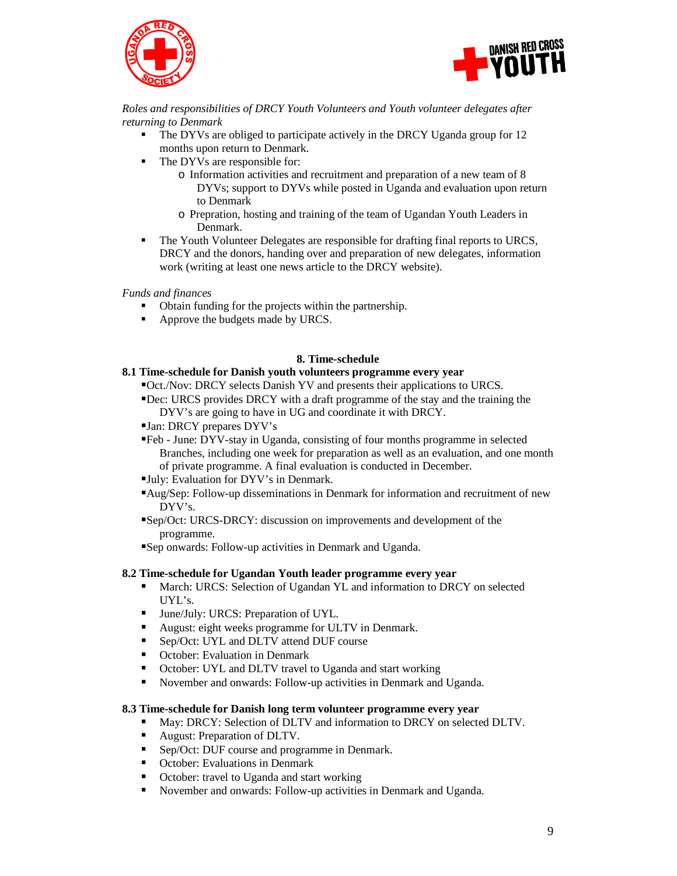



*Roles and responsibilities of DRCY Youth Volunteers and Youth volunteer delegates after returning to Denmark* 

- The DYVs are obliged to participate actively in the DRCY Uganda group for 12 months upon return to Denmark.
- The DYVs are responsible for:
	- o Information activities and recruitment and preparation of a new team of 8 DYVs; support to DYVs while posted in Uganda and evaluation upon return to Denmark
	- o Prepration, hosting and training of the team of Ugandan Youth Leaders in Denmark.
- The Youth Volunteer Delegates are responsible for drafting final reports to URCS, DRCY and the donors, handing over and preparation of new delegates, information work (writing at least one news article to the DRCY website).

*Funds and finances* 

- Obtain funding for the projects within the partnership.
- Approve the budgets made by URCS.

#### **8. Time-schedule**

### **8.1 Time-schedule for Danish youth volunteers programme every year**

Oct./Nov: DRCY selects Danish YV and presents their applications to URCS.

- Dec: URCS provides DRCY with a draft programme of the stay and the training the DYV's are going to have in UG and coordinate it with DRCY.
- Jan: DRCY prepares DYV's
- Feb June: DYV-stay in Uganda, consisting of four months programme in selected Branches, including one week for preparation as well as an evaluation, and one month of private programme. A final evaluation is conducted in December.
- July: Evaluation for DYV's in Denmark.
- Aug/Sep: Follow-up disseminations in Denmark for information and recruitment of new DYV's.
- Sep/Oct: URCS-DRCY: discussion on improvements and development of the programme.

Sep onwards: Follow-up activities in Denmark and Uganda.

#### **8.2 Time-schedule for Ugandan Youth leader programme every year**

- March: URCS: Selection of Ugandan YL and information to DRCY on selected UYL's.
- **June/July: URCS: Preparation of UYL.**
- August: eight weeks programme for ULTV in Denmark.
- Sep/Oct: UYL and DLTV attend DUF course
- October: Evaluation in Denmark
- October: UYL and DLTV travel to Uganda and start working
- November and onwards: Follow-up activities in Denmark and Uganda.

#### **8.3 Time-schedule for Danish long term volunteer programme every year**

- May: DRCY: Selection of DLTV and information to DRCY on selected DLTV.
- August: Preparation of DLTV.
- Sep/Oct: DUF course and programme in Denmark.
- October: Evaluations in Denmark
- October: travel to Uganda and start working
- November and onwards: Follow-up activities in Denmark and Uganda.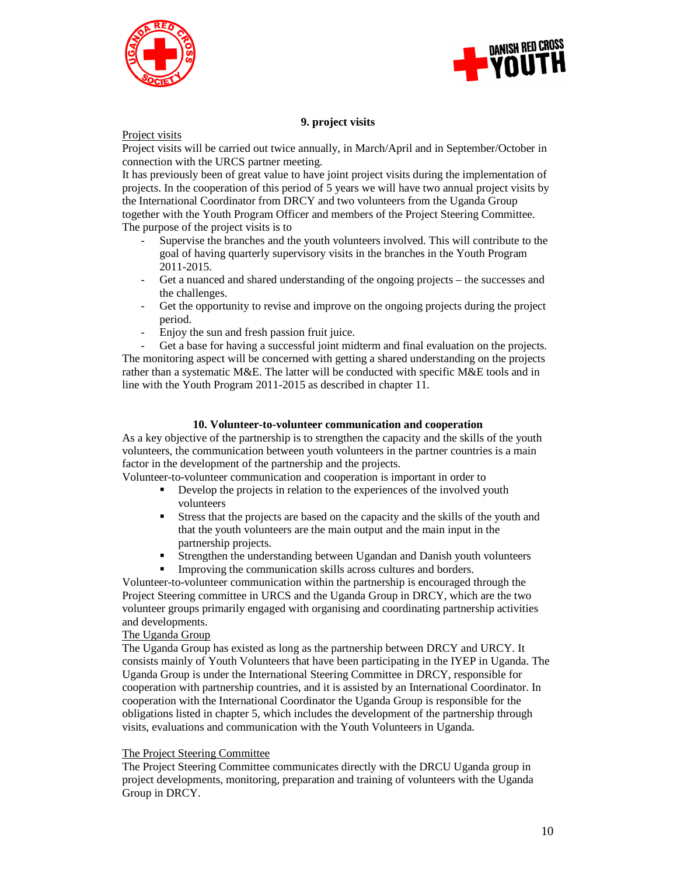



### **9. project visits**

Project visits

Project visits will be carried out twice annually, in March/April and in September/October in connection with the URCS partner meeting.

It has previously been of great value to have joint project visits during the implementation of projects. In the cooperation of this period of 5 years we will have two annual project visits by the International Coordinator from DRCY and two volunteers from the Uganda Group together with the Youth Program Officer and members of the Project Steering Committee. The purpose of the project visits is to

- Supervise the branches and the youth volunteers involved. This will contribute to the goal of having quarterly supervisory visits in the branches in the Youth Program 2011-2015.
- Get a nuanced and shared understanding of the ongoing projects the successes and the challenges.
- Get the opportunity to revise and improve on the ongoing projects during the project period.
- Enjoy the sun and fresh passion fruit juice.

Get a base for having a successful joint midterm and final evaluation on the projects. The monitoring aspect will be concerned with getting a shared understanding on the projects rather than a systematic M&E. The latter will be conducted with specific M&E tools and in line with the Youth Program 2011-2015 as described in chapter 11.

#### **10. Volunteer-to-volunteer communication and cooperation**

As a key objective of the partnership is to strengthen the capacity and the skills of the youth volunteers, the communication between youth volunteers in the partner countries is a main factor in the development of the partnership and the projects.

Volunteer-to-volunteer communication and cooperation is important in order to

- Develop the projects in relation to the experiences of the involved youth volunteers
- Stress that the projects are based on the capacity and the skills of the youth and that the youth volunteers are the main output and the main input in the partnership projects.
- Strengthen the understanding between Ugandan and Danish youth volunteers
- Improving the communication skills across cultures and borders.

Volunteer-to-volunteer communication within the partnership is encouraged through the Project Steering committee in URCS and the Uganda Group in DRCY, which are the two volunteer groups primarily engaged with organising and coordinating partnership activities and developments.

### The Uganda Group

The Uganda Group has existed as long as the partnership between DRCY and URCY. It consists mainly of Youth Volunteers that have been participating in the IYEP in Uganda. The Uganda Group is under the International Steering Committee in DRCY, responsible for cooperation with partnership countries, and it is assisted by an International Coordinator. In cooperation with the International Coordinator the Uganda Group is responsible for the obligations listed in chapter 5, which includes the development of the partnership through visits, evaluations and communication with the Youth Volunteers in Uganda.

#### The Project Steering Committee

The Project Steering Committee communicates directly with the DRCU Uganda group in project developments, monitoring, preparation and training of volunteers with the Uganda Group in DRCY.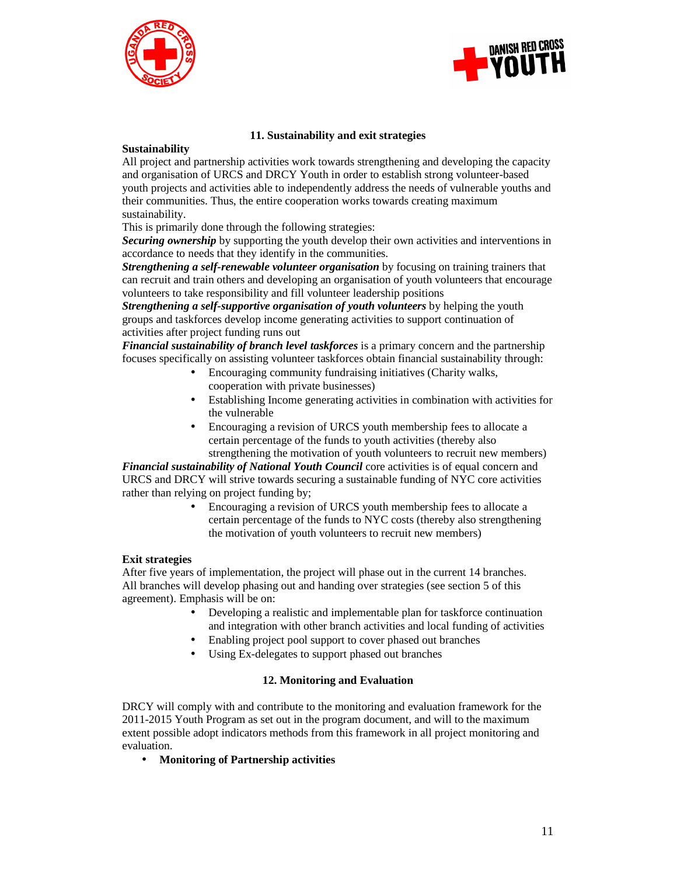



### **11. Sustainability and exit strategies**

### **Sustainability**

All project and partnership activities work towards strengthening and developing the capacity and organisation of URCS and DRCY Youth in order to establish strong volunteer-based youth projects and activities able to independently address the needs of vulnerable youths and their communities. Thus, the entire cooperation works towards creating maximum sustainability.

This is primarily done through the following strategies:

**Securing ownership** by supporting the youth develop their own activities and interventions in accordance to needs that they identify in the communities.

*Strengthening a self-renewable volunteer organisation* by focusing on training trainers that can recruit and train others and developing an organisation of youth volunteers that encourage volunteers to take responsibility and fill volunteer leadership positions

*Strengthening a self-supportive organisation of youth volunteers* by helping the youth groups and taskforces develop income generating activities to support continuation of activities after project funding runs out

*Financial sustainability of branch level taskforces* is a primary concern and the partnership focuses specifically on assisting volunteer taskforces obtain financial sustainability through:

- Encouraging community fundraising initiatives (Charity walks, cooperation with private businesses)
- Establishing Income generating activities in combination with activities for the vulnerable
- Encouraging a revision of URCS youth membership fees to allocate a certain percentage of the funds to youth activities (thereby also strengthening the motivation of youth volunteers to recruit new members)

*Financial sustainability of National Youth Council* core activities is of equal concern and URCS and DRCY will strive towards securing a sustainable funding of NYC core activities rather than relying on project funding by;

> • Encouraging a revision of URCS youth membership fees to allocate a certain percentage of the funds to NYC costs (thereby also strengthening the motivation of youth volunteers to recruit new members)

#### **Exit strategies**

After five years of implementation, the project will phase out in the current 14 branches. All branches will develop phasing out and handing over strategies (see section 5 of this agreement). Emphasis will be on:

- Developing a realistic and implementable plan for taskforce continuation and integration with other branch activities and local funding of activities
- Enabling project pool support to cover phased out branches
- Using Ex-delegates to support phased out branches

#### **12. Monitoring and Evaluation**

DRCY will comply with and contribute to the monitoring and evaluation framework for the 2011-2015 Youth Program as set out in the program document, and will to the maximum extent possible adopt indicators methods from this framework in all project monitoring and evaluation.

• **Monitoring of Partnership activities**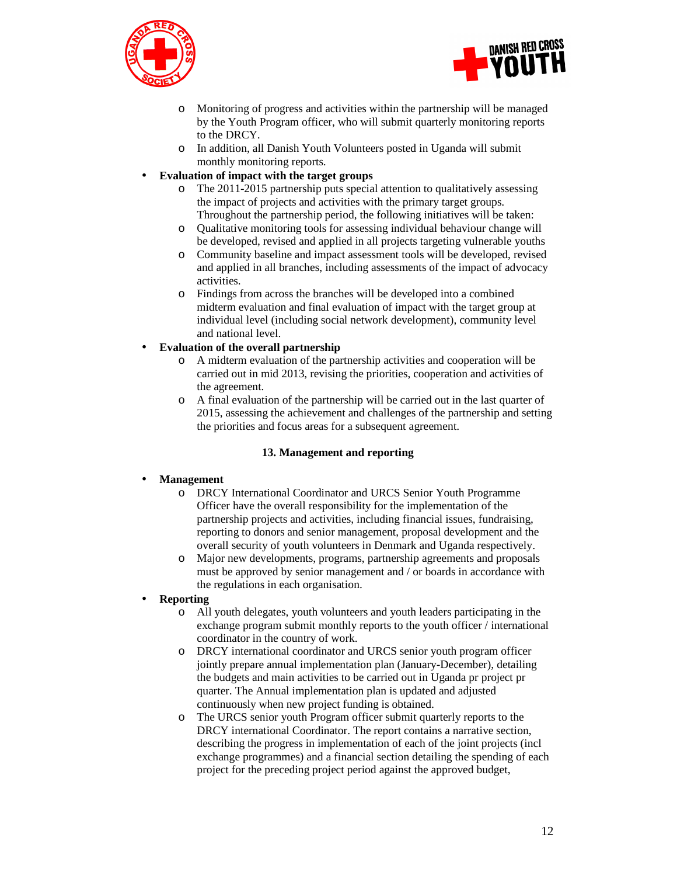



- o Monitoring of progress and activities within the partnership will be managed by the Youth Program officer, who will submit quarterly monitoring reports to the DRCY.
- o In addition, all Danish Youth Volunteers posted in Uganda will submit monthly monitoring reports.

### • **Evaluation of impact with the target groups**

- o The 2011-2015 partnership puts special attention to qualitatively assessing the impact of projects and activities with the primary target groups. Throughout the partnership period, the following initiatives will be taken:
- o Qualitative monitoring tools for assessing individual behaviour change will be developed, revised and applied in all projects targeting vulnerable youths
- o Community baseline and impact assessment tools will be developed, revised and applied in all branches, including assessments of the impact of advocacy activities.
- o Findings from across the branches will be developed into a combined midterm evaluation and final evaluation of impact with the target group at individual level (including social network development), community level and national level.

## • **Evaluation of the overall partnership**

- o A midterm evaluation of the partnership activities and cooperation will be carried out in mid 2013, revising the priorities, cooperation and activities of the agreement.
- o A final evaluation of the partnership will be carried out in the last quarter of 2015, assessing the achievement and challenges of the partnership and setting the priorities and focus areas for a subsequent agreement.

## **13. Management and reporting**

## • **Management**

- o DRCY International Coordinator and URCS Senior Youth Programme Officer have the overall responsibility for the implementation of the partnership projects and activities, including financial issues, fundraising, reporting to donors and senior management, proposal development and the overall security of youth volunteers in Denmark and Uganda respectively.
- o Major new developments, programs, partnership agreements and proposals must be approved by senior management and / or boards in accordance with the regulations in each organisation.

#### • **Reporting**

- o All youth delegates, youth volunteers and youth leaders participating in the exchange program submit monthly reports to the youth officer / international coordinator in the country of work.
- o DRCY international coordinator and URCS senior youth program officer jointly prepare annual implementation plan (January-December), detailing the budgets and main activities to be carried out in Uganda pr project pr quarter. The Annual implementation plan is updated and adjusted continuously when new project funding is obtained.
- o The URCS senior youth Program officer submit quarterly reports to the DRCY international Coordinator. The report contains a narrative section, describing the progress in implementation of each of the joint projects (incl exchange programmes) and a financial section detailing the spending of each project for the preceding project period against the approved budget,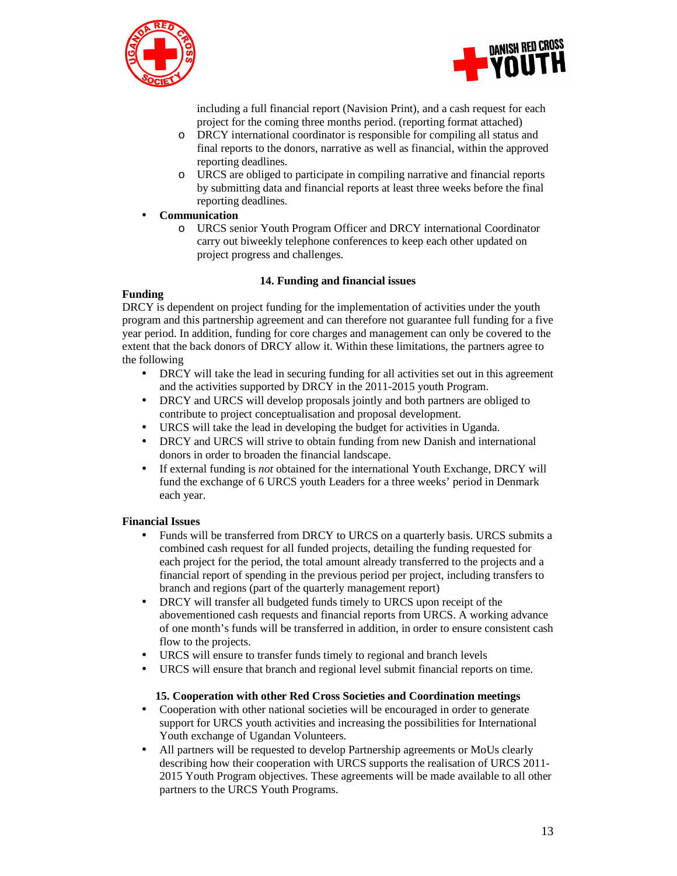



including a full financial report (Navision Print), and a cash request for each project for the coming three months period. (reporting format attached)

- o DRCY international coordinator is responsible for compiling all status and final reports to the donors, narrative as well as financial, within the approved reporting deadlines.
- o URCS are obliged to participate in compiling narrative and financial reports by submitting data and financial reports at least three weeks before the final reporting deadlines.

### • **Communication**

o URCS senior Youth Program Officer and DRCY international Coordinator carry out biweekly telephone conferences to keep each other updated on project progress and challenges.

### **14. Funding and financial issues**

### **Funding**

DRCY is dependent on project funding for the implementation of activities under the youth program and this partnership agreement and can therefore not guarantee full funding for a five year period. In addition, funding for core charges and management can only be covered to the extent that the back donors of DRCY allow it. Within these limitations, the partners agree to the following

- DRCY will take the lead in securing funding for all activities set out in this agreement and the activities supported by DRCY in the 2011-2015 youth Program.
- DRCY and URCS will develop proposals jointly and both partners are obliged to contribute to project conceptualisation and proposal development.
- URCS will take the lead in developing the budget for activities in Uganda.
- DRCY and URCS will strive to obtain funding from new Danish and international donors in order to broaden the financial landscape.
- If external funding is *not* obtained for the international Youth Exchange, DRCY will fund the exchange of 6 URCS youth Leaders for a three weeks' period in Denmark each year.

## **Financial Issues**

- Funds will be transferred from DRCY to URCS on a quarterly basis. URCS submits a combined cash request for all funded projects, detailing the funding requested for each project for the period, the total amount already transferred to the projects and a financial report of spending in the previous period per project, including transfers to branch and regions (part of the quarterly management report)
- DRCY will transfer all budgeted funds timely to URCS upon receipt of the abovementioned cash requests and financial reports from URCS. A working advance of one month's funds will be transferred in addition, in order to ensure consistent cash flow to the projects.
- URCS will ensure to transfer funds timely to regional and branch levels
- URCS will ensure that branch and regional level submit financial reports on time.

#### **15. Cooperation with other Red Cross Societies and Coordination meetings**

- Cooperation with other national societies will be encouraged in order to generate support for URCS youth activities and increasing the possibilities for International Youth exchange of Ugandan Volunteers.
- All partners will be requested to develop Partnership agreements or MoUs clearly describing how their cooperation with URCS supports the realisation of URCS 2011- 2015 Youth Program objectives. These agreements will be made available to all other partners to the URCS Youth Programs.